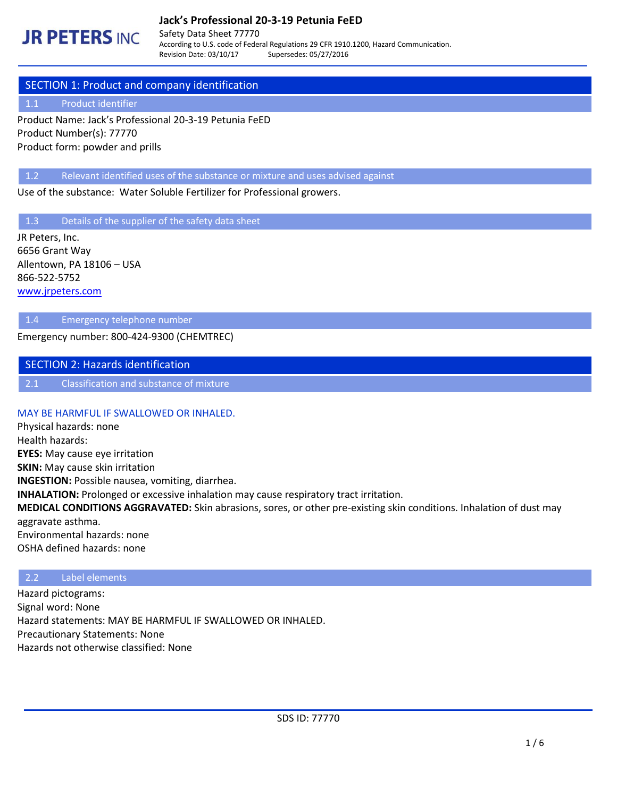# **Jack's Professional 20-3-19 Petunia FeED**

# **JR PETERS INC.**

Safety Data Sheet 77770 According to U.S. code of Federal Regulations 29 CFR 1910.1200, Hazard Communication. Revision Date: 03/10/17 Supersedes: 05/27/2016

# SECTION 1: Product and company identification

### 1.1 Product identifier

Product Name: Jack's Professional 20-3-19 Petunia FeED Product Number(s): 77770 Product form: powder and prills

1.2 Relevant identified uses of the substance or mixture and uses advised against

Use of the substance: Water Soluble Fertilizer for Professional growers.

1.3 Details of the supplier of the safety data sheet

JR Peters, Inc. 6656 Grant Way Allentown, PA 18106 – USA 866-522-5752 [www.jrpeters.com](http://www.jrpeters.com/)

### 1.4 Emergency telephone number

Emergency number: 800-424-9300 (CHEMTREC)

## SECTION 2: Hazards identification

2.1 Classification and substance of mixture

#### MAY BE HARMFUL IF SWALLOWED OR INHALED.

Physical hazards: none Health hazards: **EYES:** May cause eye irritation **SKIN:** May cause skin irritation **INGESTION:** Possible nausea, vomiting, diarrhea. **INHALATION:** Prolonged or excessive inhalation may cause respiratory tract irritation. **MEDICAL CONDITIONS AGGRAVATED:** Skin abrasions, sores, or other pre-existing skin conditions. Inhalation of dust may aggravate asthma. Environmental hazards: none OSHA defined hazards: none

## 2.2 Label elements

Hazard pictograms: Signal word: None Hazard statements: MAY BE HARMFUL IF SWALLOWED OR INHALED. Precautionary Statements: None Hazards not otherwise classified: None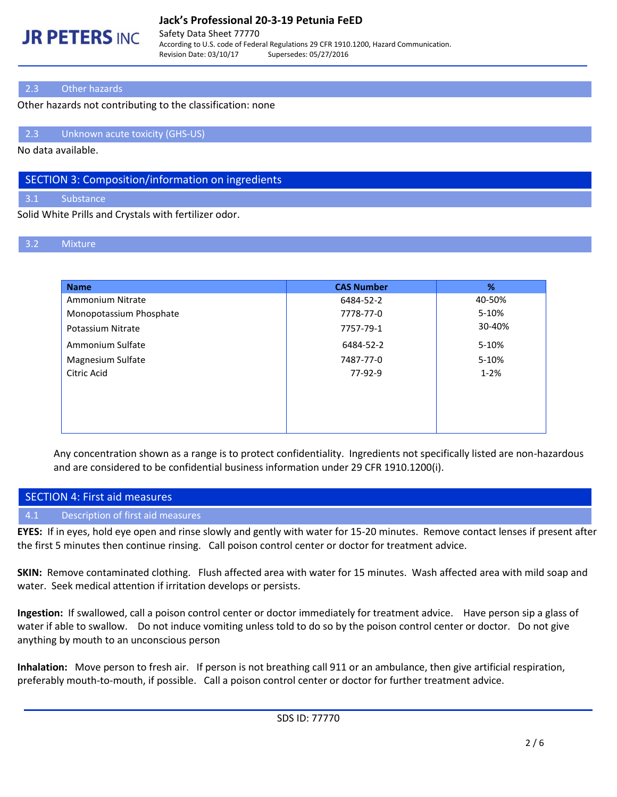# **JR PETERS INC**

## **Jack's Professional 20-3-19 Petunia FeED**

Safety Data Sheet 77770 According to U.S. code of Federal Regulations 29 CFR 1910.1200, Hazard Communication. Revision Date: 03/10/17 Supersedes: 05/27/2016

# 2.3 Other hazards

Other hazards not contributing to the classification: none

2.3 Unknown acute toxicity (GHS-US)

No data available.

# SECTION 3: Composition/information on ingredients

3.1 Substance

Solid White Prills and Crystals with fertilizer odor.

# 3.2 Mixture

| <b>Name</b>             | <b>CAS Number</b> | %        |
|-------------------------|-------------------|----------|
| Ammonium Nitrate        | 6484-52-2         | 40-50%   |
| Monopotassium Phosphate | 7778-77-0         | 5-10%    |
| Potassium Nitrate       | 7757-79-1         | 30-40%   |
| Ammonium Sulfate        | 6484-52-2         | 5-10%    |
| Magnesium Sulfate       | 7487-77-0         | 5-10%    |
| Citric Acid             | $77-92-9$         | $1 - 2%$ |
|                         |                   |          |
|                         |                   |          |
|                         |                   |          |
|                         |                   |          |

Any concentration shown as a range is to protect confidentiality. Ingredients not specifically listed are non-hazardous and are considered to be confidential business information under 29 CFR 1910.1200(i).

|        | SECTION 4: First aid measures     |
|--------|-----------------------------------|
| $-4.1$ | Description of first aid measures |

**EYES:** If in eyes, hold eye open and rinse slowly and gently with water for 15-20 minutes. Remove contact lenses if present after the first 5 minutes then continue rinsing. Call poison control center or doctor for treatment advice.

**SKIN:** Remove contaminated clothing. Flush affected area with water for 15 minutes. Wash affected area with mild soap and water. Seek medical attention if irritation develops or persists.

**Ingestion:** If swallowed, call a poison control center or doctor immediately for treatment advice. Have person sip a glass of water if able to swallow. Do not induce vomiting unless told to do so by the poison control center or doctor. Do not give anything by mouth to an unconscious person

**Inhalation:** Move person to fresh air. If person is not breathing call 911 or an ambulance, then give artificial respiration, preferably mouth-to-mouth, if possible. Call a poison control center or doctor for further treatment advice.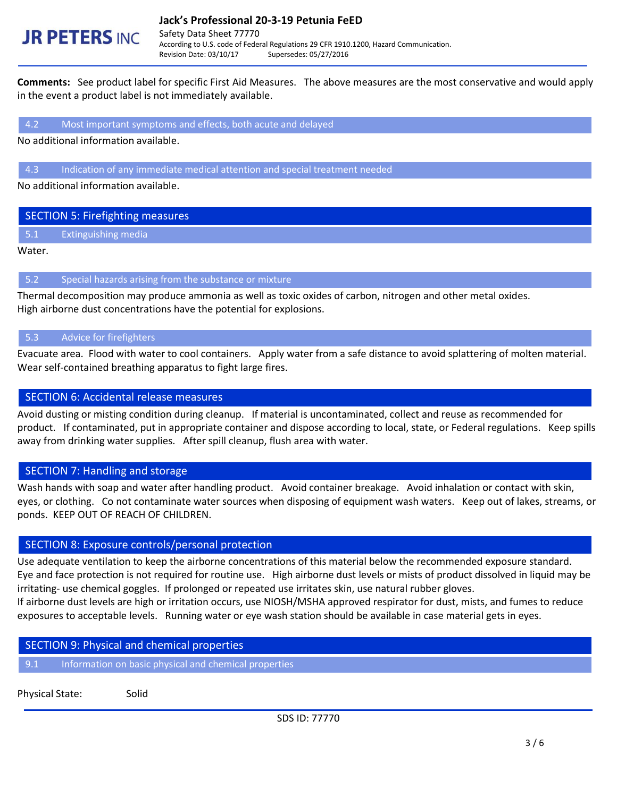# **JR PETERS INC.**

Revision Date: 03/10/17 Supersedes: 05/27/2016

**Comments:** See product label for specific First Aid Measures. The above measures are the most conservative and would apply in the event a product label is not immediately available.

#### 4.2 Most important symptoms and effects, both acute and delayed

No additional information available.

### 4.3 Indication of any immediate medical attention and special treatment needed

No additional information available.

## SECTION 5: Firefighting measures

5.1 Extinguishing media

Water.

### 5.2 Special hazards arising from the substance or mixture

Thermal decomposition may produce ammonia as well as toxic oxides of carbon, nitrogen and other metal oxides. High airborne dust concentrations have the potential for explosions.

## 5.3 Advice for firefighters

Evacuate area. Flood with water to cool containers. Apply water from a safe distance to avoid splattering of molten material. Wear self-contained breathing apparatus to fight large fires.

## SECTION 6: Accidental release measures

Avoid dusting or misting condition during cleanup. If material is uncontaminated, collect and reuse as recommended for product. If contaminated, put in appropriate container and dispose according to local, state, or Federal regulations. Keep spills away from drinking water supplies. After spill cleanup, flush area with water.

# SECTION 7: Handling and storage

Wash hands with soap and water after handling product. Avoid container breakage. Avoid inhalation or contact with skin, eyes, or clothing. Co not contaminate water sources when disposing of equipment wash waters. Keep out of lakes, streams, or ponds. KEEP OUT OF REACH OF CHILDREN.

# SECTION 8: Exposure controls/personal protection

Use adequate ventilation to keep the airborne concentrations of this material below the recommended exposure standard. Eye and face protection is not required for routine use. High airborne dust levels or mists of product dissolved in liquid may be irritating- use chemical goggles. If prolonged or repeated use irritates skin, use natural rubber gloves. If airborne dust levels are high or irritation occurs, use NIOSH/MSHA approved respirator for dust, mists, and fumes to reduce exposures to acceptable levels. Running water or eye wash station should be available in case material gets in eyes.

## SECTION 9: Physical and chemical properties

9.1 Information on basic physical and chemical properties

Physical State: Solid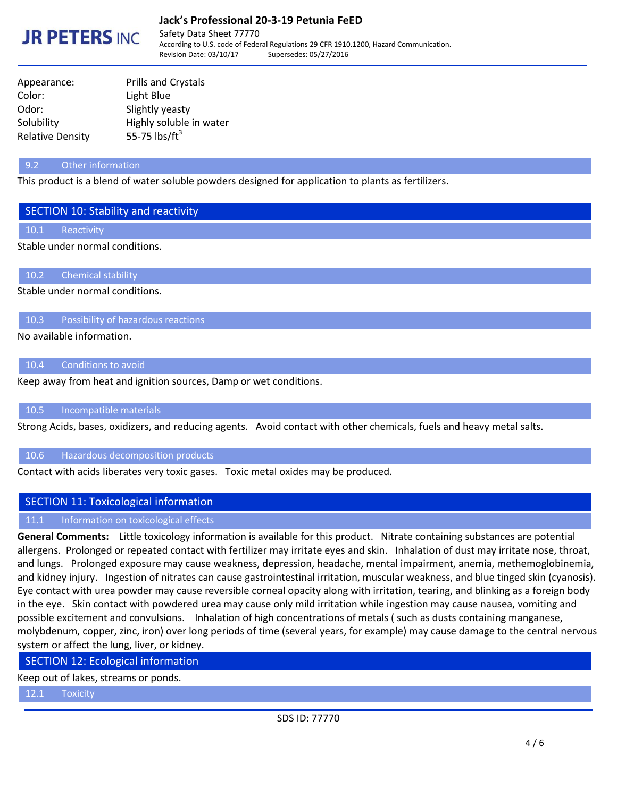

## **Jack's Professional 20-3-19 Petunia FeED**

Safety Data Sheet 77770 According to U.S. code of Federal Regulations 29 CFR 1910.1200, Hazard Communication. Revision Date: 03/10/17 Supersedes: 05/27/2016

| <b>Prills and Crystals</b> |  |
|----------------------------|--|
| Light Blue                 |  |
| Slightly yeasty            |  |
| Highly soluble in water    |  |
| 55-75 $\text{lbs/ft}^3$    |  |
|                            |  |

#### 9.2 Other information

This product is a blend of water soluble powders designed for application to plants as fertilizers.

#### SECTION 10: Stability and reactivity

10.1 Reactivity

#### Stable under normal conditions.

10.2 Chemical stability

Stable under normal conditions.

10.3 Possibility of hazardous reactions

No available information.

## 10.4 Conditions to avoid

Keep away from heat and ignition sources, Damp or wet conditions.

#### 10.5 Incompatible materials

Strong Acids, bases, oxidizers, and reducing agents. Avoid contact with other chemicals, fuels and heavy metal salts.

#### 10.6 Hazardous decomposition products

Contact with acids liberates very toxic gases. Toxic metal oxides may be produced.

## SECTION 11: Toxicological information

#### 11.1 Information on toxicological effects

**General Comments:** Little toxicology information is available for this product. Nitrate containing substances are potential allergens. Prolonged or repeated contact with fertilizer may irritate eyes and skin. Inhalation of dust may irritate nose, throat, and lungs. Prolonged exposure may cause weakness, depression, headache, mental impairment, anemia, methemoglobinemia, and kidney injury. Ingestion of nitrates can cause gastrointestinal irritation, muscular weakness, and blue tinged skin (cyanosis). Eye contact with urea powder may cause reversible corneal opacity along with irritation, tearing, and blinking as a foreign body in the eye. Skin contact with powdered urea may cause only mild irritation while ingestion may cause nausea, vomiting and possible excitement and convulsions. Inhalation of high concentrations of metals ( such as dusts containing manganese, molybdenum, copper, zinc, iron) over long periods of time (several years, for example) may cause damage to the central nervous system or affect the lung, liver, or kidney.

#### SECTION 12: Ecological information

Keep out of lakes, streams or ponds.

12.1 Toxicity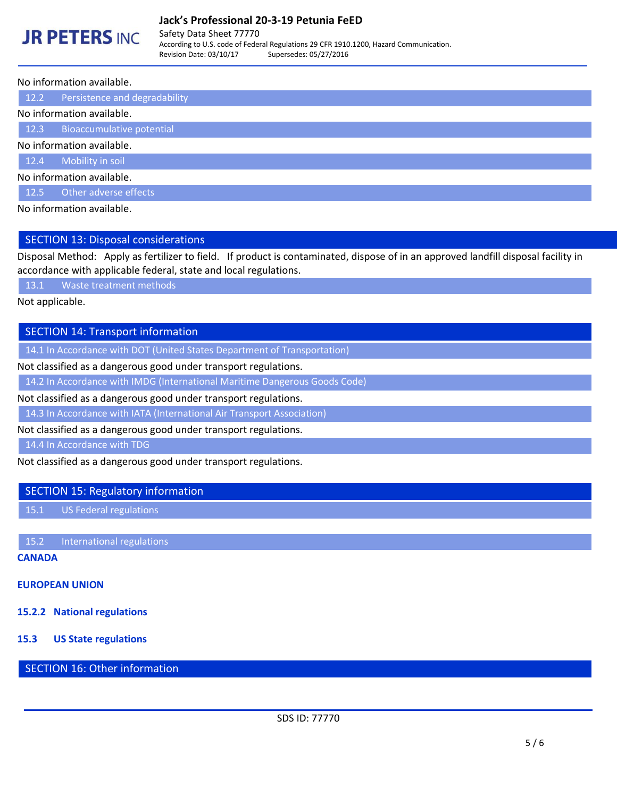## **Jack's Professional 20-3-19 Petunia FeED**

# **JR PETERS INC.**

Safety Data Sheet 77770 According to U.S. code of Federal Regulations 29 CFR 1910.1200, Hazard Communication. Revision Date: 03/10/17 Supersedes: 05/27/2016

#### No information available.

12.2 Persistence and degradability

#### No information available.

12.3 Bioaccumulative potential

No information available.

12.4 Mobility in soil

No information available.

12.5 Other adverse effects

No information available.

## SECTION 13: Disposal considerations

Disposal Method: Apply as fertilizer to field. If product is contaminated, dispose of in an approved landfill disposal facility in accordance with applicable federal, state and local regulations.

13.1 Waste treatment methods

Not applicable.

## SECTION 14: Transport information

14.1 In Accordance with DOT (United States Department of Transportation)

Not classified as a dangerous good under transport regulations.

14.2 In Accordance with IMDG (International Maritime Dangerous Goods Code)

Not classified as a dangerous good under transport regulations.

14.3 In Accordance with IATA (International Air Transport Association)

Not classified as a dangerous good under transport regulations.

14.4 In Accordance with TDG

Not classified as a dangerous good under transport regulations.

### SECTION 15: Regulatory information

15.1 US Federal regulations

15.2 International regulations

## **CANADA**

# **EUROPEAN UNION**

**15.2.2 National regulations**

# **15.3 US State regulations**

# SECTION 16: Other information